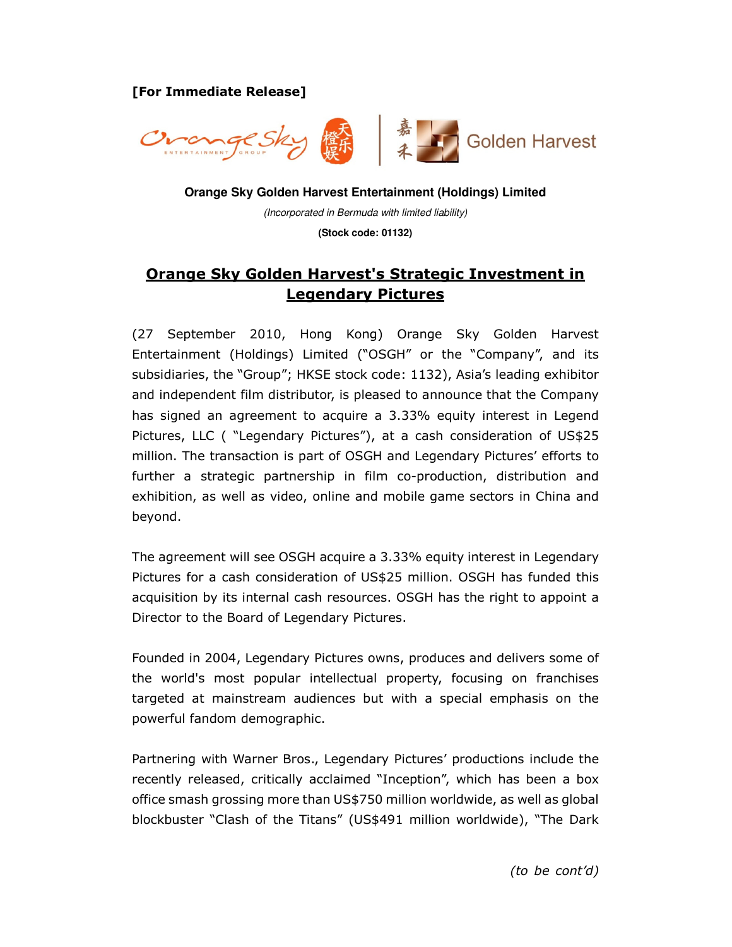[For Immediate Release]



**Orange Sky Golden Harvest Entertainment (Holdings) Limited** 

(Incorporated in Bermuda with limited liability)

**(Stock code: 01132)** 

## Orange Sky Golden Harvest's Strategic Investment in Legendary Pictures

(27 September 2010, Hong Kong) Orange Sky Golden Harvest Entertainment (Holdings) Limited ("OSGH" or the "Company", and its subsidiaries, the "Group"; HKSE stock code: 1132), Asia's leading exhibitor and independent film distributor, is pleased to announce that the Company has signed an agreement to acquire a 3.33% equity interest in Legend Pictures, LLC ( "Legendary Pictures"), at a cash consideration of US\$25 million. The transaction is part of OSGH and Legendary Pictures' efforts to further a strategic partnership in film co-production, distribution and exhibition, as well as video, online and mobile game sectors in China and beyond.

The agreement will see OSGH acquire a 3.33% equity interest in Legendary Pictures for a cash consideration of US\$25 million. OSGH has funded this acquisition by its internal cash resources. OSGH has the right to appoint a Director to the Board of Legendary Pictures.

Founded in 2004, Legendary Pictures owns, produces and delivers some of the world's most popular intellectual property, focusing on franchises targeted at mainstream audiences but with a special emphasis on the powerful fandom demographic.

Partnering with Warner Bros., Legendary Pictures' productions include the recently released, critically acclaimed "Inception", which has been a box office smash grossing more than US\$750 million worldwide, as well as global blockbuster "Clash of the Titans" (US\$491 million worldwide), "The Dark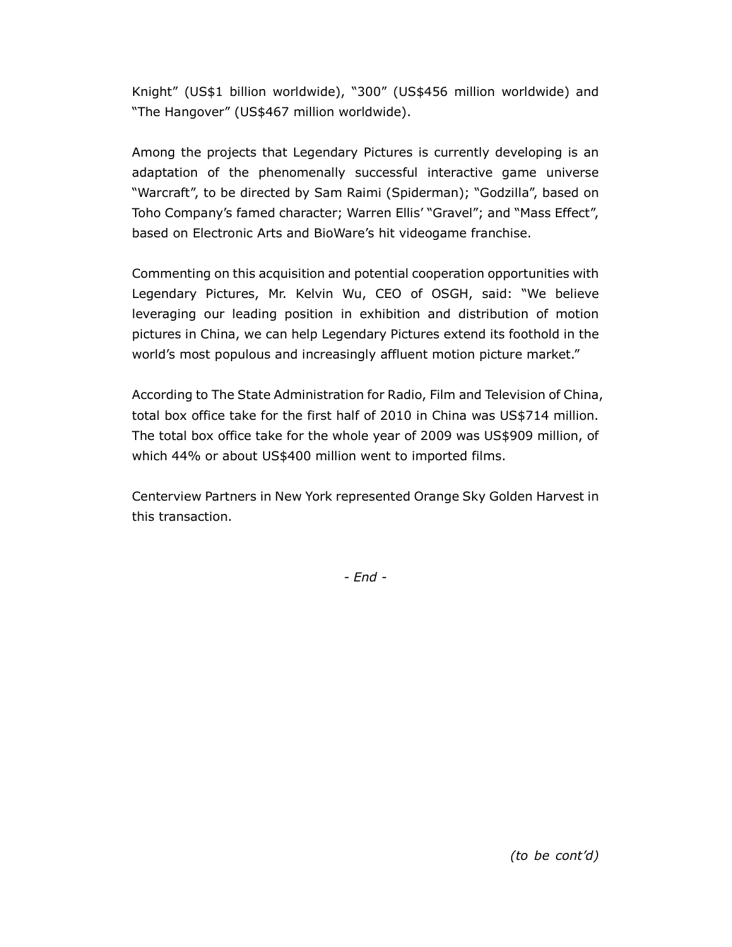Knight" (US\$1 billion worldwide), "300" (US\$456 million worldwide) and "The Hangover" (US\$467 million worldwide).

Among the projects that Legendary Pictures is currently developing is an adaptation of the phenomenally successful interactive game universe "Warcraft", to be directed by Sam Raimi (Spiderman); "Godzilla", based on Toho Company's famed character; Warren Ellis' "Gravel"; and "Mass Effect", based on Electronic Arts and BioWare's hit videogame franchise.

Commenting on this acquisition and potential cooperation opportunities with Legendary Pictures, Mr. Kelvin Wu, CEO of OSGH, said: "We believe leveraging our leading position in exhibition and distribution of motion pictures in China, we can help Legendary Pictures extend its foothold in the world's most populous and increasingly affluent motion picture market."

According to The State Administration for Radio, Film and Television of China, total box office take for the first half of 2010 in China was US\$714 million. The total box office take for the whole year of 2009 was US\$909 million, of which 44% or about US\$400 million went to imported films.

Centerview Partners in New York represented Orange Sky Golden Harvest in this transaction.

- End -